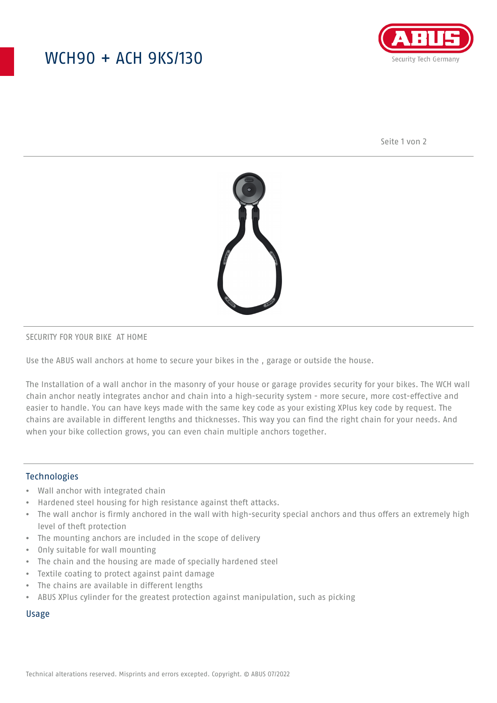## WCH90 + ACH 9KS/130



Seite 1 von 2



#### SECURITY FOR YOUR BIKE AT HOME

Use the ABUS wall anchors at home to secure your bikes in the , garage or outside the house.

The Installation of a wall anchor in the masonry of your house or garage provides security for your bikes. The WCH wall chain anchor neatly integrates anchor and chain into a high-security system - more secure, more cost-effective and easier to handle. You can have keys made with the same key code as your existing XPlus key code by request. The chains are available in different lengths and thicknesses. This way you can find the right chain for your needs. And when your bike collection grows, you can even chain multiple anchors together.

### Technologies

- Wall anchor with integrated chain
- Hardened steel housing for high resistance against theft attacks.
- The wall anchor is firmly anchored in the wall with high-security special anchors and thus offers an extremely high level of theft protection
- The mounting anchors are included in the scope of delivery
- Only suitable for wall mounting
- The chain and the housing are made of specially hardened steel
- Textile coating to protect against paint damage
- The chains are available in different lengths
- ABUS XPlus cylinder for the greatest protection against manipulation, such as picking

#### Usage